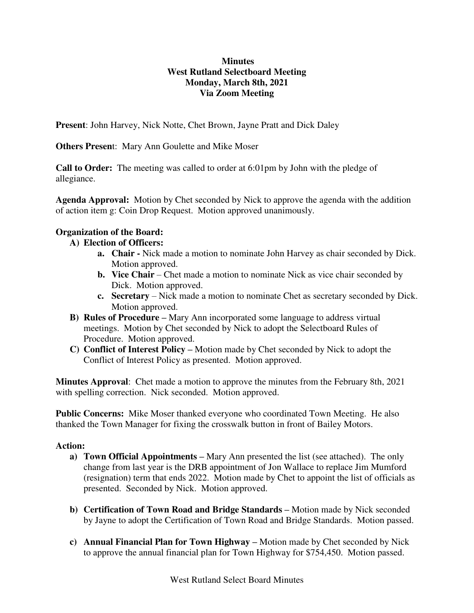## **Minutes West Rutland Selectboard Meeting Monday, March 8th, 2021 Via Zoom Meeting**

**Present**: John Harvey, Nick Notte, Chet Brown, Jayne Pratt and Dick Daley

**Others Presen**t: Mary Ann Goulette and Mike Moser

**Call to Order:** The meeting was called to order at 6:01pm by John with the pledge of allegiance.

**Agenda Approval:** Motion by Chet seconded by Nick to approve the agenda with the addition of action item g: Coin Drop Request. Motion approved unanimously.

# **Organization of the Board:**

## **A) Election of Officers:**

- **a. Chair** Nick made a motion to nominate John Harvey as chair seconded by Dick. Motion approved.
- **b. Vice Chair** Chet made a motion to nominate Nick as vice chair seconded by Dick. Motion approved.
- **c. Secretary**  Nick made a motion to nominate Chet as secretary seconded by Dick. Motion approved.
- **B) Rules of Procedure –** Mary Ann incorporated some language to address virtual meetings. Motion by Chet seconded by Nick to adopt the Selectboard Rules of Procedure. Motion approved.
- **C) Conflict of Interest Policy –** Motion made by Chet seconded by Nick to adopt the Conflict of Interest Policy as presented. Motion approved.

**Minutes Approval**: Chet made a motion to approve the minutes from the February 8th, 2021 with spelling correction. Nick seconded. Motion approved.

**Public Concerns:** Mike Moser thanked everyone who coordinated Town Meeting. He also thanked the Town Manager for fixing the crosswalk button in front of Bailey Motors.

#### **Action:**

- **a) Town Official Appointments –** Mary Ann presented the list (see attached). The only change from last year is the DRB appointment of Jon Wallace to replace Jim Mumford (resignation) term that ends 2022. Motion made by Chet to appoint the list of officials as presented. Seconded by Nick. Motion approved.
- **b) Certification of Town Road and Bridge Standards –** Motion made by Nick seconded by Jayne to adopt the Certification of Town Road and Bridge Standards. Motion passed.
- **c) Annual Financial Plan for Town Highway –** Motion made by Chet seconded by Nick to approve the annual financial plan for Town Highway for \$754,450. Motion passed.